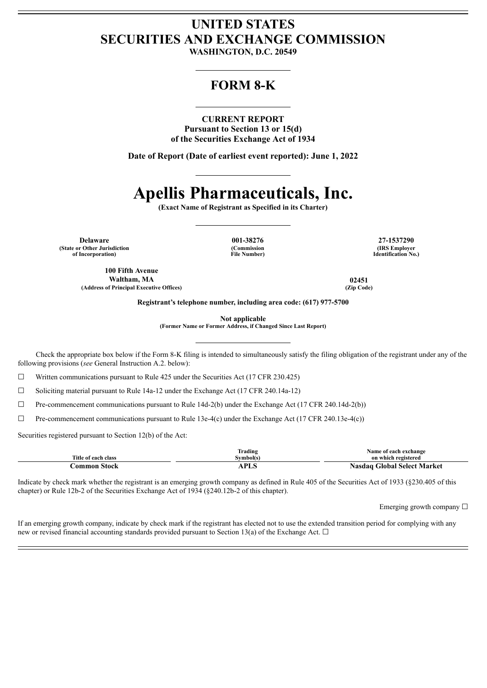## **UNITED STATES SECURITIES AND EXCHANGE COMMISSION**

**WASHINGTON, D.C. 20549**

### **FORM 8-K**

#### **CURRENT REPORT**

**Pursuant to Section 13 or 15(d) of the Securities Exchange Act of 1934**

**Date of Report (Date of earliest event reported): June 1, 2022**

# **Apellis Pharmaceuticals, Inc.**

**(Exact Name of Registrant as Specified in its Charter)**

**Delaware 001-38276 27-1537290 (State or Other Jurisdiction of Incorporation)**

**100 Fifth Avenue**

**(Commission File Number)**

**(IRS Employer Identification No.)**

**Waltham, MA 02451 (Address of Principal Executive Offices) (Zip Code)**

**Registrant's telephone number, including area code: (617) 977-5700**

**Not applicable**

**(Former Name or Former Address, if Changed Since Last Report)**

Check the appropriate box below if the Form 8-K filing is intended to simultaneously satisfy the filing obligation of the registrant under any of the following provisions (*see* General Instruction A.2. below):

 $\Box$  Written communications pursuant to Rule 425 under the Securities Act (17 CFR 230.425)

☐ Soliciting material pursuant to Rule 14a-12 under the Exchange Act (17 CFR 240.14a-12)

 $\Box$  Pre-commencement communications pursuant to Rule 14d-2(b) under the Exchange Act (17 CFR 240.14d-2(b))

 $\Box$  Pre-commencement communications pursuant to Rule 13e-4(c) under the Exchange Act (17 CFR 240.13e-4(c))

Securities registered pursuant to Section 12(b) of the Act:

|                     | Frading     | Name of each exchange       |
|---------------------|-------------|-----------------------------|
| Title of each class | Svmbol(s)   | on which registered         |
| -Stock<br>`ommon    | DT<br>AL 14 | Nasdag Global Select Market |

Indicate by check mark whether the registrant is an emerging growth company as defined in Rule 405 of the Securities Act of 1933 (§230.405 of this chapter) or Rule 12b-2 of the Securities Exchange Act of 1934 (§240.12b-2 of this chapter).

Emerging growth company  $\Box$ 

If an emerging growth company, indicate by check mark if the registrant has elected not to use the extended transition period for complying with any new or revised financial accounting standards provided pursuant to Section 13(a) of the Exchange Act.  $\Box$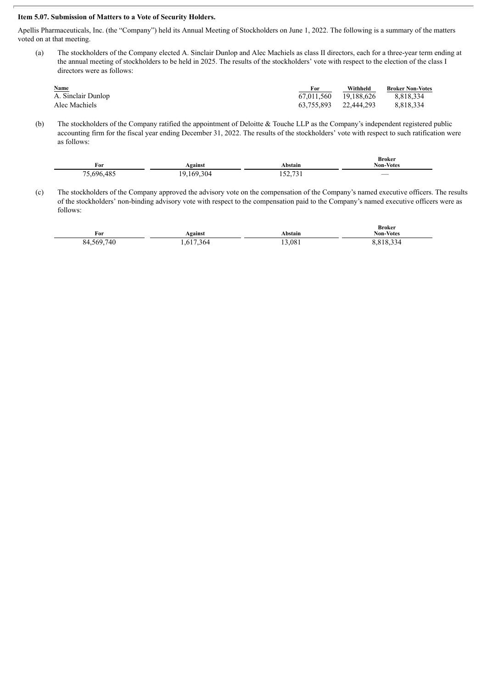#### **Item 5.07. Submission of Matters to a Vote of Security Holders.**

Apellis Pharmaceuticals, Inc. (the "Company") held its Annual Meeting of Stockholders on June 1, 2022. The following is a summary of the matters voted on at that meeting.

(a) The stockholders of the Company elected A. Sinclair Dunlop and Alec Machiels as class II directors, each for a three-year term ending at the annual meeting of stockholders to be held in 2025. The results of the stockholders' vote with respect to the election of the class I directors were as follows:

| Name               | For                   | Withheld   | <b>Broker Non-Votes</b> |
|--------------------|-----------------------|------------|-------------------------|
| A. Sinclair Dunlop | 67.011.560            | 19.188.626 | 8.818.334               |
| Alec Machiels      | 63,755,893 22,444,293 |            | 8.818.334               |

(b) The stockholders of the Company ratified the appointment of Deloitte & Touche LLP as the Company's independent registered public accounting firm for the fiscal year ending December 31, 2022. The results of the stockholders' vote with respect to such ratification were as follows:

| For        | Against    | Abstain          | Broker<br><b>Non-Votes</b> |
|------------|------------|------------------|----------------------------|
| 75,696,485 | 19,169,304 | 52731<br>132,731 |                            |

(c) The stockholders of the Company approved the advisory vote on the compensation of the Company's named executive officers. The results of the stockholders' non-binding advisory vote with respect to the compensation paid to the Company's named executive officers were as follows:

| For        | Against   | Abstain | <b>Broker</b><br><b>Non-Votes</b> |
|------------|-----------|---------|-----------------------------------|
| 84,569,740 | 1,617,364 | 13,081  | 8,818,334                         |